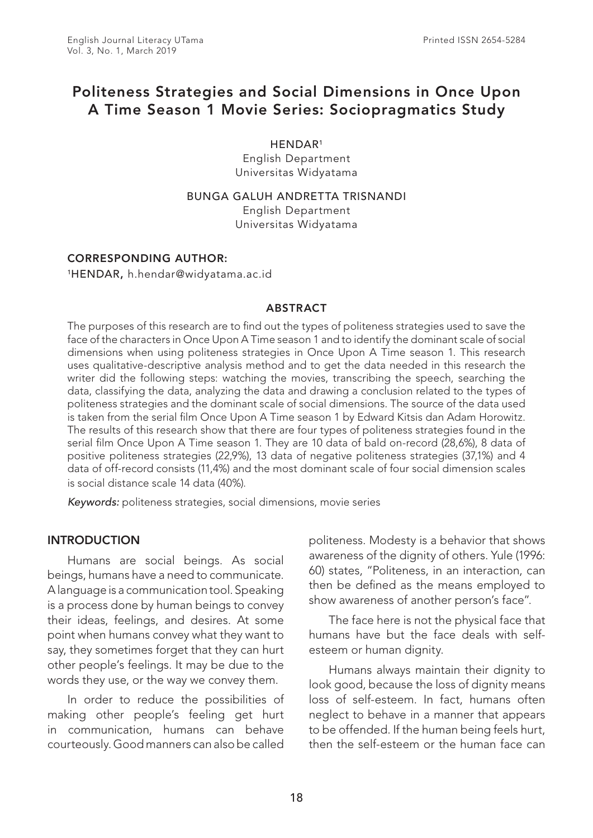# Politeness Strategies and Social Dimensions in Once Upon A Time Season 1 Movie Series: Sociopragmatics Study

HENDAR1

English Department Universitas Widyatama

BUNGA GALUH ANDRETTA TRISNANDI English Department Universitas Widyatama

#### CORRESPONDING AUTHOR:

1HENDAR, h.hendar@widyatama.ac.id

#### ABSTRACT

The purposes of this research are to find out the types of politeness strategies used to save the face of the characters in Once Upon A Time season 1 and to identify the dominant scale of social dimensions when using politeness strategies in Once Upon A Time season 1. This research uses qualitative-descriptive analysis method and to get the data needed in this research the writer did the following steps: watching the movies, transcribing the speech, searching the data, classifying the data, analyzing the data and drawing a conclusion related to the types of politeness strategies and the dominant scale of social dimensions. The source of the data used is taken from the serial film Once Upon A Time season 1 by Edward Kitsis dan Adam Horowitz. The results of this research show that there are four types of politeness strategies found in the serial film Once Upon A Time season 1. They are 10 data of bald on-record (28,6%), 8 data of positive politeness strategies (22,9%), 13 data of negative politeness strategies (37,1%) and 4 data of off-record consists (11,4%) and the most dominant scale of four social dimension scales is social distance scale 14 data (40%).

*Keywords:* politeness strategies, social dimensions, movie series

#### INTRODUCTION

Humans are social beings. As social beings, humans have a need to communicate. A language is a communication tool. Speaking is a process done by human beings to convey their ideas, feelings, and desires. At some point when humans convey what they want to say, they sometimes forget that they can hurt other people's feelings. It may be due to the words they use, or the way we convey them.

In order to reduce the possibilities of making other people's feeling get hurt in communication, humans can behave courteously. Good manners can also be called politeness. Modesty is a behavior that shows awareness of the dignity of others. Yule (1996: 60) states, "Politeness, in an interaction, can then be defined as the means employed to show awareness of another person's face".

The face here is not the physical face that humans have but the face deals with selfesteem or human dignity.

Humans always maintain their dignity to look good, because the loss of dignity means loss of self-esteem. In fact, humans often neglect to behave in a manner that appears to be offended. If the human being feels hurt, then the self-esteem or the human face can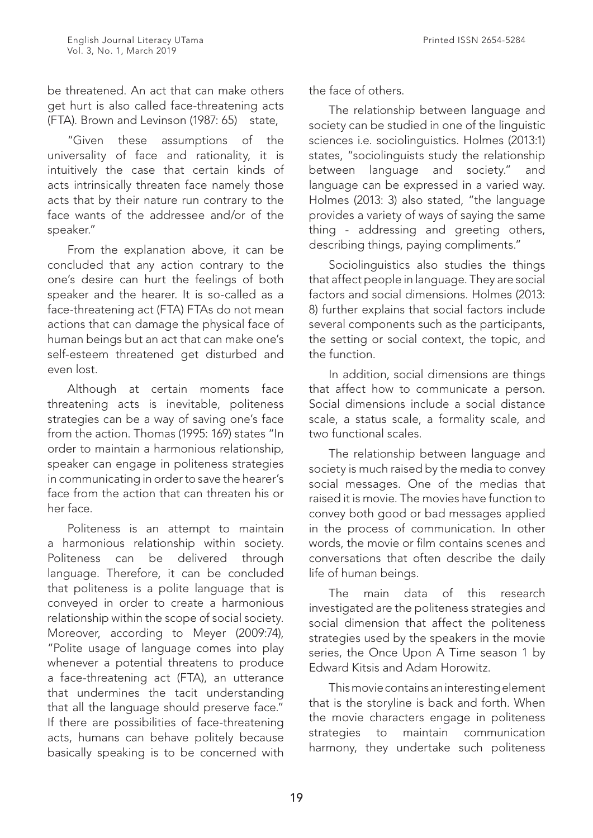be threatened. An act that can make others get hurt is also called face-threatening acts (FTA). Brown and Levinson (1987: 65) state,

"Given these assumptions of the universality of face and rationality, it is intuitively the case that certain kinds of acts intrinsically threaten face namely those acts that by their nature run contrary to the face wants of the addressee and/or of the speaker."

From the explanation above, it can be concluded that any action contrary to the one's desire can hurt the feelings of both speaker and the hearer. It is so-called as a face-threatening act (FTA) FTAs do not mean actions that can damage the physical face of human beings but an act that can make one's self-esteem threatened get disturbed and even lost.

Although at certain moments face threatening acts is inevitable, politeness strategies can be a way of saving one's face from the action. Thomas (1995: 169) states "In order to maintain a harmonious relationship, speaker can engage in politeness strategies in communicating in order to save the hearer's face from the action that can threaten his or her face.

Politeness is an attempt to maintain a harmonious relationship within society. Politeness can be delivered through language. Therefore, it can be concluded that politeness is a polite language that is conveyed in order to create a harmonious relationship within the scope of social society. Moreover, according to Meyer (2009:74), "Polite usage of language comes into play whenever a potential threatens to produce a face-threatening act (FTA), an utterance that undermines the tacit understanding that all the language should preserve face." If there are possibilities of face-threatening acts, humans can behave politely because basically speaking is to be concerned with

the face of others.

The relationship between language and society can be studied in one of the linguistic sciences i.e. sociolinguistics. Holmes (2013:1) states, "sociolinguists study the relationship between language and society." and language can be expressed in a varied way. Holmes (2013: 3) also stated, "the language provides a variety of ways of saying the same thing - addressing and greeting others, describing things, paying compliments."

Sociolinguistics also studies the things that affect people in language. They are social factors and social dimensions. Holmes (2013: 8) further explains that social factors include several components such as the participants, the setting or social context, the topic, and the function.

In addition, social dimensions are things that affect how to communicate a person. Social dimensions include a social distance scale, a status scale, a formality scale, and two functional scales.

The relationship between language and society is much raised by the media to convey social messages. One of the medias that raised it is movie. The movies have function to convey both good or bad messages applied in the process of communication. In other words, the movie or film contains scenes and conversations that often describe the daily life of human beings.

The main data of this research investigated are the politeness strategies and social dimension that affect the politeness strategies used by the speakers in the movie series, the Once Upon A Time season 1 by Edward Kitsis and Adam Horowitz.

This movie contains an interesting element that is the storyline is back and forth. When the movie characters engage in politeness strategies to maintain communication harmony, they undertake such politeness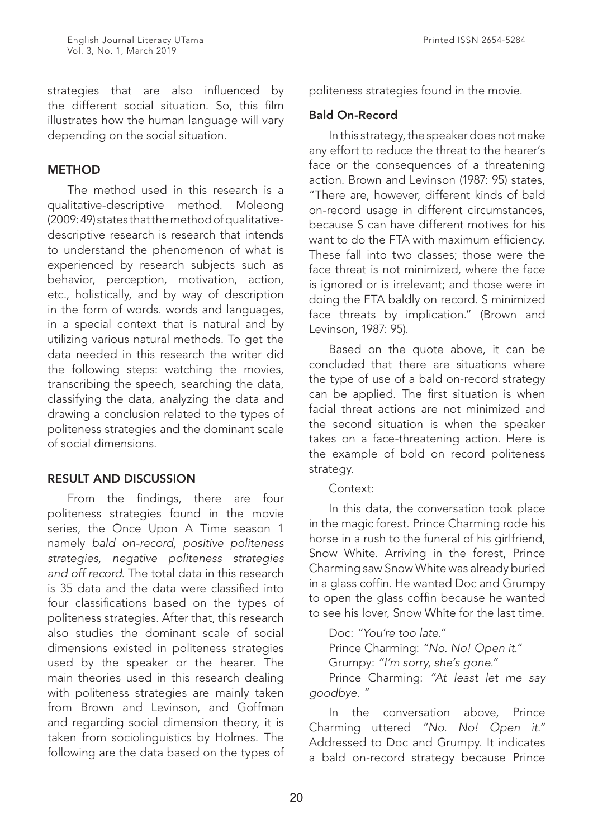strategies that are also influenced by the different social situation. So, this film illustrates how the human language will vary depending on the social situation.

#### **METHOD**

The method used in this research is a qualitative-descriptive method. Moleong (2009: 49) states that the method of qualitativedescriptive research is research that intends to understand the phenomenon of what is experienced by research subjects such as behavior, perception, motivation, action, etc., holistically, and by way of description in the form of words. words and languages, in a special context that is natural and by utilizing various natural methods. To get the data needed in this research the writer did the following steps: watching the movies, transcribing the speech, searching the data, classifying the data, analyzing the data and drawing a conclusion related to the types of politeness strategies and the dominant scale of social dimensions.

### RESULT AND DISCUSSION

From the findings, there are four politeness strategies found in the movie series, the Once Upon A Time season 1 namely *bald on-record, positive politeness strategies, negative politeness strategies and off record*. The total data in this research is 35 data and the data were classified into four classifications based on the types of politeness strategies. After that, this research also studies the dominant scale of social dimensions existed in politeness strategies used by the speaker or the hearer. The main theories used in this research dealing with politeness strategies are mainly taken from Brown and Levinson, and Goffman and regarding social dimension theory, it is taken from sociolinguistics by Holmes. The following are the data based on the types of politeness strategies found in the movie.

#### Bald On-Record

In this strategy, the speaker does not make any effort to reduce the threat to the hearer's face or the consequences of a threatening action. Brown and Levinson (1987: 95) states, "There are, however, different kinds of bald on-record usage in different circumstances, because S can have different motives for his want to do the FTA with maximum efficiency. These fall into two classes; those were the face threat is not minimized, where the face is ignored or is irrelevant; and those were in doing the FTA baldly on record. S minimized face threats by implication." (Brown and Levinson, 1987: 95).

Based on the quote above, it can be concluded that there are situations where the type of use of a bald on-record strategy can be applied. The first situation is when facial threat actions are not minimized and the second situation is when the speaker takes on a face-threatening action. Here is the example of bold on record politeness strategy.

#### Context:

In this data, the conversation took place in the magic forest. Prince Charming rode his horse in a rush to the funeral of his girlfriend, Snow White. Arriving in the forest, Prince Charming saw Snow White was already buried in a glass coffin. He wanted Doc and Grumpy to open the glass coffin because he wanted to see his lover, Snow White for the last time.

Doc: *"You're too late."* Prince Charming: *"No. No! Open it."* Grumpy: *"I'm sorry, she's gone."* Prince Charming: *"At least let me say* 

*goodbye. "*

In the conversation above, Prince Charming uttered *"No. No! Open it."*  Addressed to Doc and Grumpy. It indicates a bald on-record strategy because Prince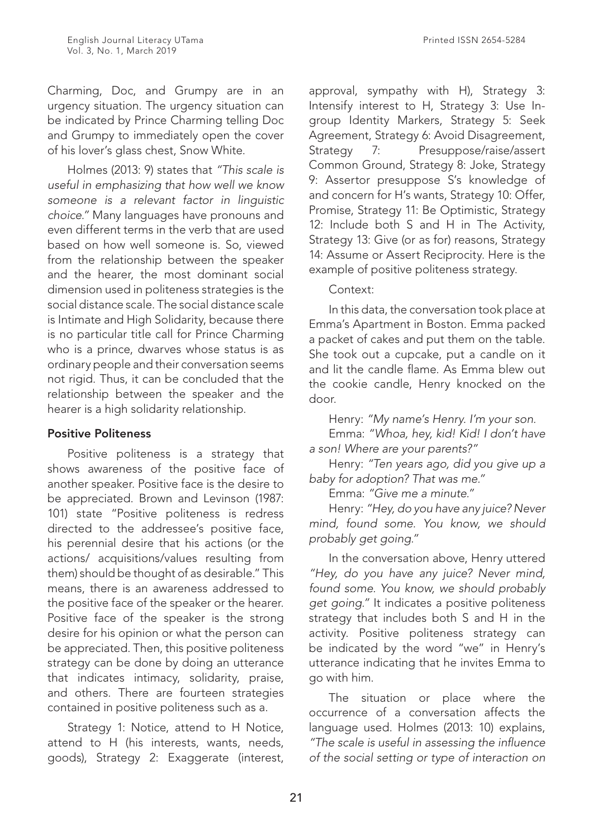Charming, Doc, and Grumpy are in an urgency situation. The urgency situation can be indicated by Prince Charming telling Doc and Grumpy to immediately open the cover of his lover's glass chest, Snow White.

Holmes (2013: 9) states that *"This scale is useful in emphasizing that how well we know someone is a relevant factor in linguistic choice."* Many languages have pronouns and even different terms in the verb that are used based on how well someone is. So, viewed from the relationship between the speaker and the hearer, the most dominant social dimension used in politeness strategies is the social distance scale. The social distance scale is Intimate and High Solidarity, because there is no particular title call for Prince Charming who is a prince, dwarves whose status is as ordinary people and their conversation seems not rigid. Thus, it can be concluded that the relationship between the speaker and the hearer is a high solidarity relationship.

### Positive Politeness

Positive politeness is a strategy that shows awareness of the positive face of another speaker. Positive face is the desire to be appreciated. Brown and Levinson (1987: 101) state "Positive politeness is redress directed to the addressee's positive face, his perennial desire that his actions (or the actions/ acquisitions/values resulting from them) should be thought of as desirable." This means, there is an awareness addressed to the positive face of the speaker or the hearer. Positive face of the speaker is the strong desire for his opinion or what the person can be appreciated. Then, this positive politeness strategy can be done by doing an utterance that indicates intimacy, solidarity, praise, and others. There are fourteen strategies contained in positive politeness such as a.

Strategy 1: Notice, attend to H Notice, attend to H (his interests, wants, needs, goods), Strategy 2: Exaggerate (interest,

approval, sympathy with H), Strategy 3: Intensify interest to H, Strategy 3: Use Ingroup Identity Markers, Strategy 5: Seek Agreement, Strategy 6: Avoid Disagreement, Strategy 7: Presuppose/raise/assert Common Ground, Strategy 8: Joke, Strategy 9: Assertor presuppose S's knowledge of and concern for H's wants, Strategy 10: Offer, Promise, Strategy 11: Be Optimistic, Strategy 12: Include both S and H in The Activity, Strategy 13: Give (or as for) reasons, Strategy 14: Assume or Assert Reciprocity. Here is the example of positive politeness strategy.

### Context:

In this data, the conversation took place at Emma's Apartment in Boston. Emma packed a packet of cakes and put them on the table. She took out a cupcake, put a candle on it and lit the candle flame. As Emma blew out the cookie candle, Henry knocked on the door.

Henry: *"My name's Henry. I'm your son.* 

Emma: *"Whoa, hey, kid! Kid! I don't have a son! Where are your parents?"*

Henry: *"Ten years ago, did you give up a baby for adoption? That was me."*

Emma: *"Give me a minute."*

Henry: *"Hey, do you have any juice? Never mind, found some. You know, we should probably get going."*

In the conversation above, Henry uttered *"Hey, do you have any juice? Never mind, found some. You know, we should probably get going."* It indicates a positive politeness strategy that includes both S and H in the activity. Positive politeness strategy can be indicated by the word "we" in Henry's utterance indicating that he invites Emma to go with him.

The situation or place where the occurrence of a conversation affects the language used. Holmes (2013: 10) explains, *"The scale is useful in assessing the influence of the social setting or type of interaction on*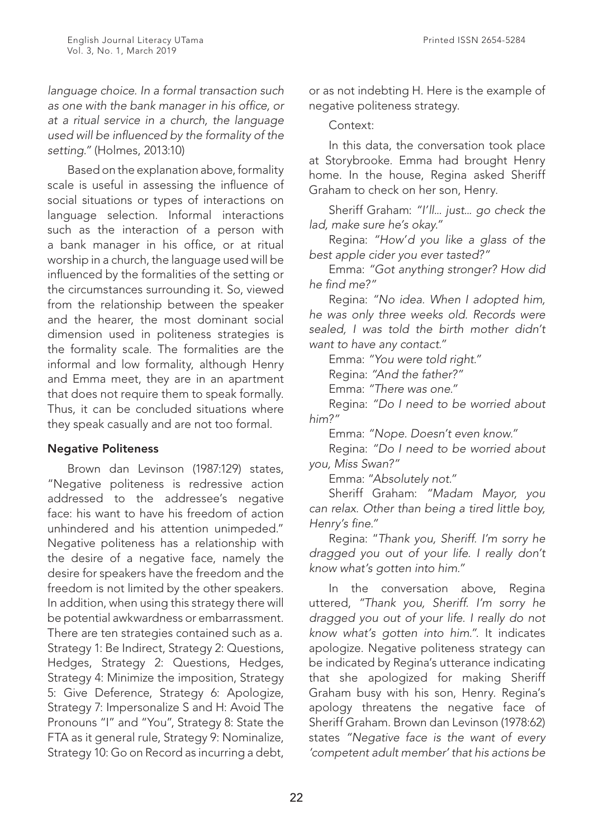*language choice. In a formal transaction such as one with the bank manager in his office, or at a ritual service in a church, the language used will be influenced by the formality of the setting."* (Holmes, 2013:10)

Based on the explanation above, formality scale is useful in assessing the influence of social situations or types of interactions on language selection. Informal interactions such as the interaction of a person with a bank manager in his office, or at ritual worship in a church, the language used will be influenced by the formalities of the setting or the circumstances surrounding it. So, viewed from the relationship between the speaker and the hearer, the most dominant social dimension used in politeness strategies is the formality scale. The formalities are the informal and low formality, although Henry and Emma meet, they are in an apartment that does not require them to speak formally. Thus, it can be concluded situations where they speak casually and are not too formal.

### Negative Politeness

Brown dan Levinson (1987:129) states, "Negative politeness is redressive action addressed to the addressee's negative face: his want to have his freedom of action unhindered and his attention unimpeded." Negative politeness has a relationship with the desire of a negative face, namely the desire for speakers have the freedom and the freedom is not limited by the other speakers. In addition, when using this strategy there will be potential awkwardness or embarrassment. There are ten strategies contained such as a. Strategy 1: Be Indirect, Strategy 2: Questions, Hedges, Strategy 2: Questions, Hedges, Strategy 4: Minimize the imposition, Strategy 5: Give Deference, Strategy 6: Apologize, Strategy 7: Impersonalize S and H: Avoid The Pronouns "I" and "You", Strategy 8: State the FTA as it general rule, Strategy 9: Nominalize, Strategy 10: Go on Record as incurring a debt,

or as not indebting H. Here is the example of negative politeness strategy.

Context:

In this data, the conversation took place at Storybrooke. Emma had brought Henry home. In the house, Regina asked Sheriff Graham to check on her son, Henry.

Sheriff Graham: *"I'll... just... go check the lad, make sure he's okay."*

Regina: *"How'd you like a glass of the best apple cider you ever tasted?"*

Emma: *"Got anything stronger? How did he find me?"*

Regina: *"No idea. When I adopted him, he was only three weeks old. Records were sealed, I was told the birth mother didn't want to have any contact."*

Emma: *"You were told right."*

Regina: *"And the father?"*

Emma: *"There was one."*

Regina: *"Do I need to be worried about him?"*

Emma: *"Nope. Doesn't even know."*

Regina: *"Do I need to be worried about you, Miss Swan?"*

Emma: "*Absolutely not."*

Sheriff Graham: *"Madam Mayor, you can relax. Other than being a tired little boy, Henry's fine."*

Regina: "*Thank you, Sheriff. I'm sorry he dragged you out of your life. I really don't know what's gotten into him."*

In the conversation above, Regina uttered, *"Thank you, Sheriff. I'm sorry he dragged you out of your life. I really do not know what's gotten into him."*. It indicates apologize. Negative politeness strategy can be indicated by Regina's utterance indicating that she apologized for making Sheriff Graham busy with his son, Henry. Regina's apology threatens the negative face of Sheriff Graham. Brown dan Levinson (1978:62) states *"Negative face is the want of every 'competent adult member' that his actions be*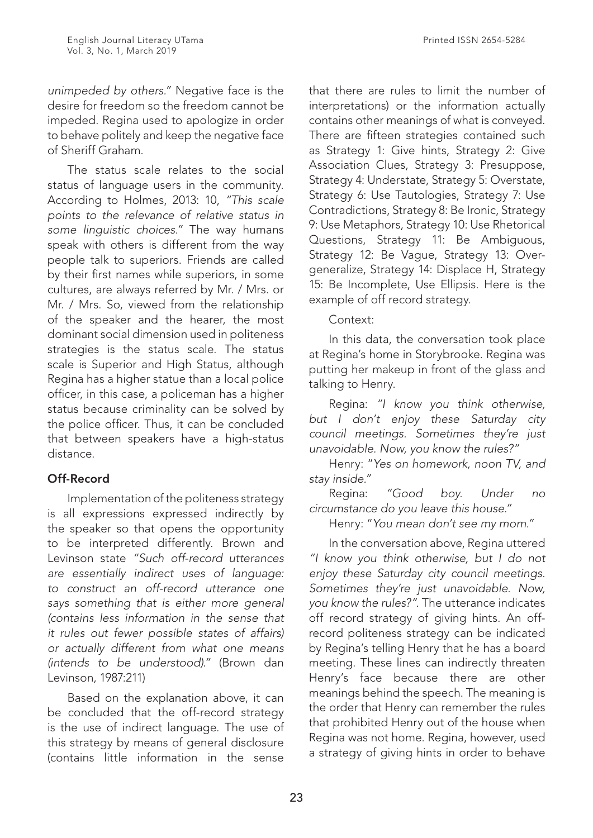*unimpeded by others."* Negative face is the desire for freedom so the freedom cannot be impeded. Regina used to apologize in order to behave politely and keep the negative face of Sheriff Graham.

The status scale relates to the social status of language users in the community. According to Holmes, 2013: 10, *"This scale points to the relevance of relative status in some linguistic choices."* The way humans speak with others is different from the way people talk to superiors. Friends are called by their first names while superiors, in some cultures, are always referred by Mr. / Mrs. or Mr. / Mrs. So, viewed from the relationship of the speaker and the hearer, the most dominant social dimension used in politeness strategies is the status scale. The status scale is Superior and High Status, although Regina has a higher statue than a local police officer, in this case, a policeman has a higher status because criminality can be solved by the police officer. Thus, it can be concluded that between speakers have a high-status distance.

# Off-Record

Implementation of the politeness strategy is all expressions expressed indirectly by the speaker so that opens the opportunity to be interpreted differently. Brown and Levinson state *"Such off-record utterances are essentially indirect uses of language: to construct an off-record utterance one says something that is either more general (contains less information in the sense that it rules out fewer possible states of affairs) or actually different from what one means (intends to be understood)."* (Brown dan Levinson, 1987:211)

Based on the explanation above, it can be concluded that the off-record strategy is the use of indirect language. The use of this strategy by means of general disclosure (contains little information in the sense

that there are rules to limit the number of interpretations) or the information actually contains other meanings of what is conveyed. There are fifteen strategies contained such as Strategy 1: Give hints, Strategy 2: Give Association Clues, Strategy 3: Presuppose, Strategy 4: Understate, Strategy 5: Overstate, Strategy 6: Use Tautologies, Strategy 7: Use Contradictions, Strategy 8: Be Ironic, Strategy 9: Use Metaphors, Strategy 10: Use Rhetorical Questions, Strategy 11: Be Ambiguous, Strategy 12: Be Vague, Strategy 13: Overgeneralize, Strategy 14: Displace H, Strategy 15: Be Incomplete, Use Ellipsis. Here is the example of off record strategy.

### Context:

In this data, the conversation took place at Regina's home in Storybrooke. Regina was putting her makeup in front of the glass and talking to Henry.

Regina: *"I know you think otherwise, but I don't enjoy these Saturday city council meetings. Sometimes they're just unavoidable. Now, you know the rules?"*

Henry: "*Yes on homework, noon TV, and stay inside."*

Regina: *"Good boy. Under no circumstance do you leave this house."*

Henry: "*You mean don't see my mom."*

In the conversation above, Regina uttered *"I know you think otherwise, but I do not enjoy these Saturday city council meetings. Sometimes they're just unavoidable. Now, you know the rules?"*. The utterance indicates off record strategy of giving hints. An offrecord politeness strategy can be indicated by Regina's telling Henry that he has a board meeting. These lines can indirectly threaten Henry's face because there are other meanings behind the speech. The meaning is the order that Henry can remember the rules that prohibited Henry out of the house when Regina was not home. Regina, however, used a strategy of giving hints in order to behave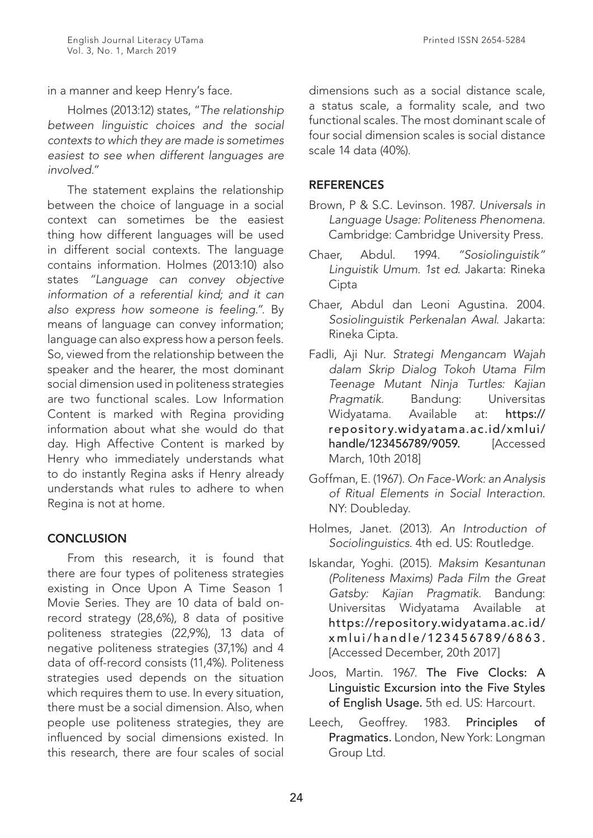in a manner and keep Henry's face.

Holmes (2013:12) states, "*The relationship between linguistic choices and the social contexts to which they are made is sometimes easiest to see when different languages are involved."* 

The statement explains the relationship between the choice of language in a social context can sometimes be the easiest thing how different languages will be used in different social contexts. The language contains information. Holmes (2013:10) also states *"Language can convey objective information of a referential kind; and it can also express how someone is feeling."*. By means of language can convey information; language can also express how a person feels. So, viewed from the relationship between the speaker and the hearer, the most dominant social dimension used in politeness strategies are two functional scales. Low Information Content is marked with Regina providing information about what she would do that day. High Affective Content is marked by Henry who immediately understands what to do instantly Regina asks if Henry already understands what rules to adhere to when Regina is not at home.

# **CONCLUSION**

From this research, it is found that there are four types of politeness strategies existing in Once Upon A Time Season 1 Movie Series. They are 10 data of bald onrecord strategy (28,6%), 8 data of positive politeness strategies (22,9%), 13 data of negative politeness strategies (37,1%) and 4 data of off-record consists (11,4%). Politeness strategies used depends on the situation which requires them to use. In every situation, there must be a social dimension. Also, when people use politeness strategies, they are influenced by social dimensions existed. In this research, there are four scales of social

dimensions such as a social distance scale, a status scale, a formality scale, and two functional scales. The most dominant scale of four social dimension scales is social distance scale 14 data (40%).

### **REFERENCES**

- Brown, P & S.C. Levinson. 1987. *Universals in Language Usage: Politeness Phenomena.*  Cambridge: Cambridge University Press.
- Chaer, Abdul. 1994. *"Sosiolinguistik" Linguistik Umum. 1st ed*. Jakarta: Rineka Cipta
- Chaer, Abdul dan Leoni Agustina. 2004. *Sosiolinguistik Perkenalan Awal*. Jakarta: Rineka Cipta.
- Fadli, Aji Nur. *Strategi Mengancam Wajah dalam Skrip Dialog Tokoh Utama Film Teenage Mutant Ninja Turtles: Kajian Pragmatik.* Bandung: Universitas Widyatama. Available at: https:// repository.widyatama.ac.id/xmlui/ handle/123456789/9059. [Accessed March, 10th 2018]
- Goffman, E. (1967). *On Face-Work: an Analysis of Ritual Elements in Social Interaction.*  NY: Doubleday.
- Holmes, Janet. (2013). *An Introduction of Sociolinguistics.* 4th ed. US: Routledge.
- Iskandar, Yoghi. (2015). *Maksim Kesantunan (Politeness Maxims) Pada Film the Great Gatsby: Kajian Pragmatik.* Bandung: Universitas Widyatama Available at https://repository.widyatama.ac.id/ xmlui/handle/123456789/6863 . [Accessed December, 20th 2017]
- Joos, Martin. 1967. The Five Clocks: A Linguistic Excursion into the Five Styles of English Usage. 5th ed. US: Harcourt.
- Leech, Geoffrey. 1983. Principles of Pragmatics. London, New York: Longman Group Ltd.